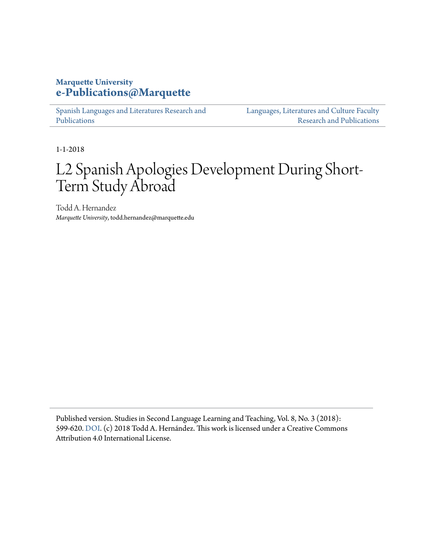# **Marquette University [e-Publications@Marquette](https://epublications.marquette.edu)**

[Spanish Languages and Literatures Research and](https://epublications.marquette.edu/span_fac) [Publications](https://epublications.marquette.edu/span_fac)

[Languages, Literatures and Culture Faculty](https://epublications.marquette.edu/fola_fac) [Research and Publications](https://epublications.marquette.edu/fola_fac)

1-1-2018

# L2 Spanish Apologies Development During Short-Term Study Abroad

Todd A. Hernandez *Marquette University*, todd.hernandez@marquette.edu

Published version. Studies in Second Language Learning and Teaching, Vol. 8, No. 3 (2018): 599-620. [DOI.](https://doi.org/10.14746/ssllt.2018.8.3.4) (c) 2018 Todd A. Hernández. This work is licensed under a Creative Commons Attribution 4.0 International License.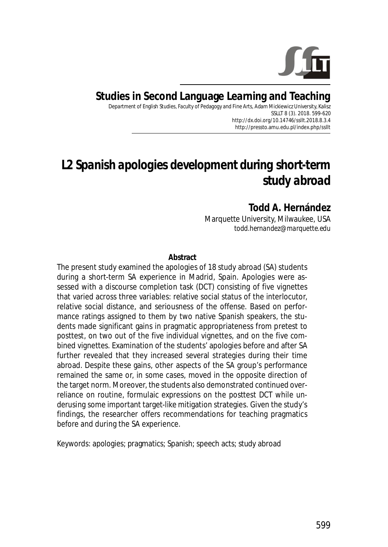

# **Studies in Second Language Learning and Teaching**

Department of English Studies, Faculty of Pedagogy and Fine Arts, Adam Mickiewicz University, Kalisz SSLLT 8 (3). 2018. 599-620 *http://dx.doi.org/10.14746/ssllt.2018.8.3.4* http://pressto.amu.edu.pl/index.php/ssllt

# *L2 Spanish apologies development during short-term study abroad*

**Todd A. Hernández** Marquette University, Milwaukee, USA *todd.hernandez@marquette.edu*

#### **Abstract**

The present study examined the apologies of 18 study abroad (SA) students during a short-term SA experience in Madrid, Spain. Apologies were assessed with a discourse completion task (DCT) consisting of five vignettes that varied across three variables: relative social status of the interlocutor, relative social distance, and seriousness of the offense. Based on performance ratings assigned to them by two native Spanish speakers, the students made significant gains in pragmatic appropriateness from pretest to posttest, on two out of the five individual vignettes, and on the five combined vignettes. Examination of the students' apologies before and after SA further revealed that they increased several strategies during their time abroad. Despite these gains, other aspects of the SA group's performance remained the same or, in some cases, moved in the opposite direction of the target norm. Moreover, the students also demonstrated continued overreliance on routine, formulaic expressions on the posttest DCT while underusing some important target-like mitigation strategies. Given the study's findings, the researcher offers recommendations for teaching pragmatics before and during the SA experience.

*Keywords*: apologies; pragmatics; Spanish; speech acts; study abroad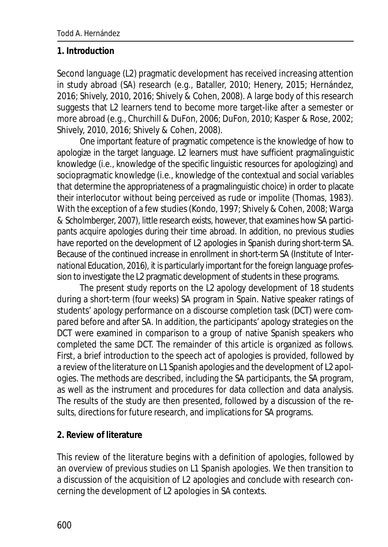#### **1. Introduction**

Second language (L2) pragmatic development has received increasing attention in study abroad (SA) research (e.g., Bataller, 2010; Henery, 2015; Hernández, 2016; Shively, 2010, 2016; Shively & Cohen, 2008). A large body of this research suggests that L2 learners tend to become more target-like after a semester or more abroad (e.g., Churchill & DuFon, 2006; DuFon, 2010; Kasper & Rose, 2002; Shively, 2010, 2016; Shively & Cohen, 2008).

One important feature of pragmatic competence is the knowledge of how to apologize in the target language. L2 learners must have sufficient pragmalinguistic knowledge (i.e., knowledge of the specific linguistic resources for apologizing) and sociopragmatic knowledge (i.e., knowledge of the contextual and social variables that determine the appropriateness of a pragmalinguistic choice) in order to placate their interlocutor without being perceived as rude or impolite (Thomas, 1983). With the exception of a few studies (Kondo, 1997; Shively & Cohen, 2008; Warga & Scholmberger, 2007), little research exists, however, that examines how SA participants acquire apologies during their time abroad. In addition, no previous studies have reported on the development of L2 apologies in Spanish during short-term SA. Because of the continued increase in enrollment in short-term SA (Institute of International Education, 2016), it is particularly important for the foreign language profession to investigate the L2 pragmatic development of students in these programs.

The present study reports on the L2 apology development of 18 students during a short-term (four weeks) SA program in Spain. Native speaker ratings of students' apology performance on a discourse completion task (DCT) were compared before and after SA. In addition, the participants' apology strategies on the DCT were examined in comparison to a group of native Spanish speakers who completed the same DCT. The remainder of this article is organized as follows. First, a brief introduction to the speech act of apologies is provided, followed by a review of the literature on L1 Spanish apologies and the development of L2 apologies. The methods are described, including the SA participants, the SA program, as well as the instrument and procedures for data collection and data analysis. The results of the study are then presented, followed by a discussion of the results, directions for future research, and implications for SA programs.

#### **2. Review of literature**

This review of the literature begins with a definition of apologies, followed by an overview of previous studies on L1 Spanish apologies. We then transition to a discussion of the acquisition of L2 apologies and conclude with research concerning the development of L2 apologies in SA contexts.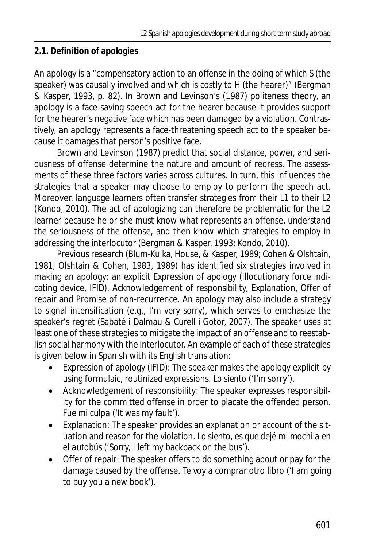# **2.1. Definition of apologies**

An apology is a "compensatory action to an offense in the doing of which S (the speaker) was causally involved and which is costly to H (the hearer)" (Bergman & Kasper, 1993, p. 82). In Brown and Levinson's (1987) politeness theory, an apology is a face-saving speech act for the hearer because it provides support for the hearer's negative face which has been damaged by a violation. Contrastively, an apology represents a face-threatening speech act to the speaker because it damages that person's positive face.

Brown and Levinson (1987) predict that social distance, power, and seriousness of offense determine the nature and amount of redress. The assessments of these three factors varies across cultures. In turn, this influences the strategies that a speaker may choose to employ to perform the speech act. Moreover, language learners often transfer strategies from their L1 to their L2 (Kondo, 2010). The act of apologizing can therefore be problematic for the L2 learner because he or she must know what represents an offense, understand the seriousness of the offense, and then know which strategies to employ in addressing the interlocutor (Bergman & Kasper, 1993; Kondo, 2010).

Previous research (Blum-Kulka, House, & Kasper, 1989; Cohen & Olshtain, 1981; Olshtain & Cohen, 1983, 1989) has identified six strategies involved in making an apology: an explicit Expression of apology (Illocutionary force indicating device, IFID), Acknowledgement of responsibility, Explanation, Offer of repair and Promise of non-recurrence. An apology may also include a strategy to signal intensification (e.g., *I'm very sorry*), which serves to emphasize the speaker's regret (Sabaté i Dalmau & Curell i Gotor, 2007). The speaker uses at least one of these strategies to mitigate the impact of an offense and to reestablish social harmony with the interlocutor. An example of each of these strategies is given below in Spanish with its English translation:

- Expression of apology (IFID): The speaker makes the apology explicit by using formulaic, routinized expressions. *Lo siento* ('I'm sorry').
- · Acknowledgement of responsibility: The speaker expresses responsibility for the committed offense in order to placate the offended person. *Fue mi culpa* ('It was my fault').
- · Explanation: The speaker provides an explanation or account of the situation and reason for the violation. *Lo siento, es que dejé mi mochila en el autobús* ('Sorry, I left my backpack on the bus').
- Offer of repair: The speaker offers to do something about or pay for the damage caused by the offense. *Te voy a comprar otro libro* ('I am going to buy you a new book').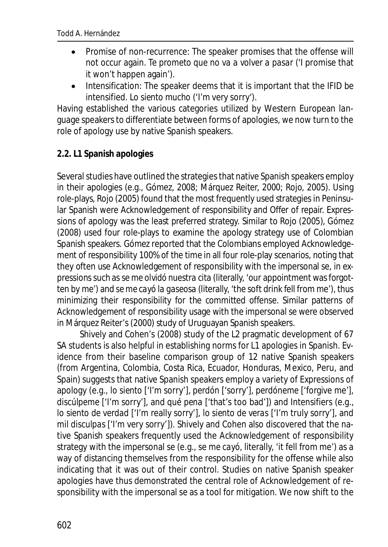- · Promise of non-recurrence: The speaker promises that the offense will not occur again. *Te prometo que no va a volver a pasar* ('I promise that it won't happen again').
- Intensification: The speaker deems that it is important that the IFID be intensified. *Lo siento mucho* ('I'm very sorry').

Having established the various categories utilized by Western European language speakers to differentiate between forms of apologies, we now turn to the role of apology use by native Spanish speakers.

# **2.2. L1 Spanish apologies**

Several studies have outlined the strategies that native Spanish speakers employ in their apologies (e.g., Gómez, 2008; Márquez Reiter, 2000; Rojo, 2005). Using role-plays, Rojo (2005) found that the most frequently used strategies in Peninsular Spanish were Acknowledgement of responsibility and Offer of repair. Expressions of apology was the least preferred strategy. Similar to Rojo (2005), Gómez (2008) used four role-plays to examine the apology strategy use of Colombian Spanish speakers. Gómez reported that the Colombians employed Acknowledgement of responsibility 100% of the time in all four role-play scenarios, noting that they often use Acknowledgement of responsibility with the impersonal *se*, in expressions such as *se me olvidó nuestra cita* (literally, 'our appointment was forgotten by me') and *se me cayó la gaseosa* (literally, 'the soft drink fell from me'), thus minimizing their responsibility for the committed offense. Similar patterns of Acknowledgement of responsibility usage with the impersonal *se* were observed in Márquez Reiter's (2000) study of Uruguayan Spanish speakers.

Shively and Cohen's (2008) study of the L2 pragmatic development of 67 SA students is also helpful in establishing norms for L1 apologies in Spanish. Evidence from their baseline comparison group of 12 native Spanish speakers (from Argentina, Colombia, Costa Rica, Ecuador, Honduras, Mexico, Peru, and Spain) suggests that native Spanish speakers employ a variety of Expressions of apology (e.g., *lo siento* ['I'm sorry'], *perdón* ['sorry'], *perdóneme* ['forgive me'], *discúlpeme* ['I'm sorry'], and *qué pena* ['that's too bad']) and Intensifiers (e.g., *lo siento de verdad* ['I'm really sorry'], *lo siento de veras* ['I'm truly sorry'], and *mil disculpas* ['I'm very sorry']). Shively and Cohen also discovered that the native Spanish speakers frequently used the Acknowledgement of responsibility strategy with the impersonal *se* (e.g., *se me cayó,* literally, 'it fell from me') as a way of distancing themselves from the responsibility for the offense while also indicating that it was out of their control. Studies on native Spanish speaker apologies have thus demonstrated the central role of Acknowledgement of responsibility with the impersonal *se* as a tool for mitigation. We now shift to the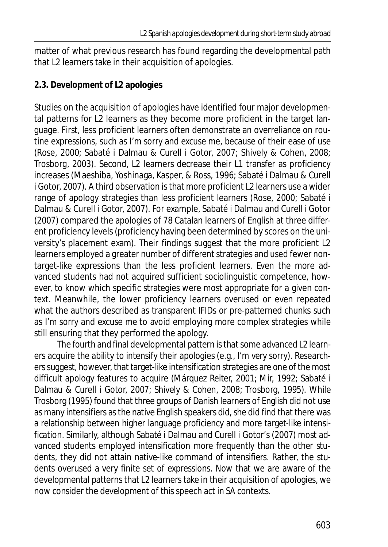matter of what previous research has found regarding the developmental path that L2 learners take in their acquisition of apologies.

# **2.3. Development of L2 apologies**

Studies on the acquisition of apologies have identified four major developmental patterns for L2 learners as they become more proficient in the target language. First, less proficient learners often demonstrate an overreliance on routine expressions, such as *I'm sorry* and *excuse me*, because of their ease of use (Rose, 2000; Sabaté i Dalmau & Curell i Gotor, 2007; Shively & Cohen, 2008; Trosborg, 2003). Second, L2 learners decrease their L1 transfer as proficiency increases (Maeshiba, Yoshinaga, Kasper, & Ross, 1996; Sabaté i Dalmau & Curell i Gotor, 2007). A third observation is that more proficient L2 learners use a wider range of apology strategies than less proficient learners (Rose, 2000; Sabaté i Dalmau & Curell i Gotor, 2007). For example, Sabaté i Dalmau and Curell i Gotor (2007) compared the apologies of 78 Catalan learners of English at three different proficiency levels (proficiency having been determined by scores on the university's placement exam). Their findings suggest that the more proficient L2 learners employed a greater number of different strategies and used fewer nontarget-like expressions than the less proficient learners. Even the more advanced students had not acquired sufficient sociolinguistic competence, however, to know which specific strategies were most appropriate for a given context. Meanwhile, the lower proficiency learners overused or even repeated what the authors described as transparent IFIDs or pre-patterned chunks such as *I'm sorry* and *excuse me* to avoid employing more complex strategies while still ensuring that they performed the apology.

The fourth and final developmental pattern is that some advanced L2 learners acquire the ability to intensify their apologies (e.g., *I'm very sorry*). Researchers suggest, however, that target-like intensification strategies are one of the most difficult apology features to acquire (Márquez Reiter, 2001; Mir, 1992; Sabaté i Dalmau & Curell i Gotor, 2007; Shively & Cohen, 2008; Trosborg, 1995). While Trosborg (1995) found that three groups of Danish learners of English did not use as many intensifiers as the native English speakers did, she did find that there was a relationship between higher language proficiency and more target-like intensification. Similarly, although Sabaté i Dalmau and Curell i Gotor's (2007) most advanced students employed intensification more frequently than the other students, they did not attain native-like command of intensifiers. Rather, the students overused a very finite set of expressions. Now that we are aware of the developmental patterns that L2 learners take in their acquisition of apologies, we now consider the development of this speech act in SA contexts.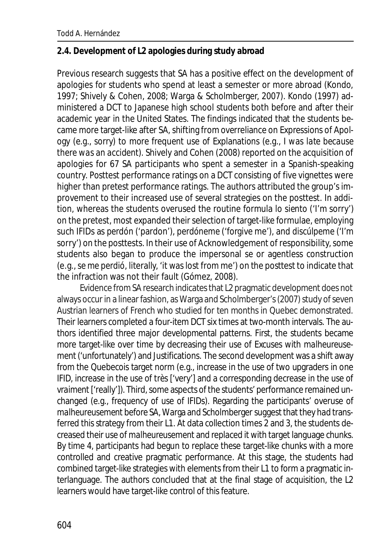#### **2.4. Development of L2 apologies during study abroad**

Previous research suggests that SA has a positive effect on the development of apologies for students who spend at least a semester or more abroad (Kondo, 1997; Shively & Cohen, 2008; Warga & Scholmberger, 2007). Kondo (1997) administered a DCT to Japanese high school students both before and after their academic year in the United States. The findings indicated that the students became more target-like after SA, shifting from overreliance on Expressions of Apology (e.g., *sorry*) to more frequent use of Explanations (e.g., *I was late because there was an accident*). Shively and Cohen (2008) reported on the acquisition of apologies for 67 SA participants who spent a semester in a Spanish-speaking country. Posttest performance ratings on a DCT consisting of five vignettes were higher than pretest performance ratings. The authors attributed the group's improvement to their increased use of several strategies on the posttest. In addition, whereas the students overused the routine formula *lo siento* ('I'm sorry') on the pretest, most expanded their selection of target-like formulae, employing such IFIDs as *perdón* ('pardon'), *perdóneme* ('forgive me'), and *discúlpeme* ('I'm sorry') on the posttests. In their use of Acknowledgement of responsibility, some students also began to produce the impersonal *se* or agentless construction (e.g.,*se me perdió*, literally, 'it was lost from me') on the posttest to indicate that the infraction was not their fault (Gómez, 2008).

Evidence from SA research indicates that L2 pragmatic development does not always occur in a linear fashion, as Warga and Scholmberger's (2007) study of seven Austrian learners of French who studied for ten months in Quebec demonstrated. Their learners completed a four-item DCT six times at two-month intervals. The authors identified three major developmental patterns. First, the students became more target-like over time by decreasing their use of Excuses with *malheureusement* ('unfortunately') and Justifications. The second development was a shift away from the Quebecois target norm (e.g., increase in the use of two upgraders in one IFID, increase in the use of *très* ['very'] and a corresponding decrease in the use of *vraiment* ['really']). Third, some aspects of the students' performance remained unchanged (e.g., frequency of use of IFIDs). Regarding the participants' overuse of *malheureusement* before SA, Warga and Scholmberger suggest that they had transferred this strategy from their L1. At data collection times 2 and 3, the students decreased their use of *malheureusement* and replaced it with target language chunks. By time 4, participants had begun to replace these target-like chunks with a more controlled and creative pragmatic performance. At this stage, the students had combined target-like strategies with elements from their L1 to form a pragmatic interlanguage. The authors concluded that at the final stage of acquisition, the L2 learners would have target-like control of this feature.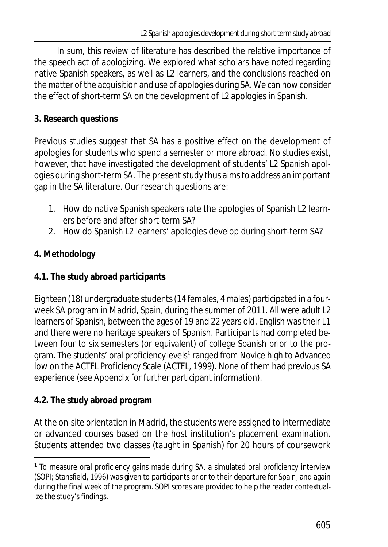In sum, this review of literature has described the relative importance of the speech act of apologizing. We explored what scholars have noted regarding native Spanish speakers, as well as L2 learners, and the conclusions reached on the matter of the acquisition and use of apologies during SA. We can now consider the effect of short-term SA on the development of L2 apologies in Spanish.

# **3. Research questions**

Previous studies suggest that SA has a positive effect on the development of apologies for students who spend a semester or more abroad. No studies exist, however, that have investigated the development of students' L2 Spanish apologies during short-term SA. The present study thus aims to address an important gap in the SA literature. Our research questions are:

- 1. How do native Spanish speakers rate the apologies of Spanish L2 learners before and after short-term SA?
- 2. How do Spanish L2 learners' apologies develop during short-term SA?

# **4. Methodology**

**4.1. The study abroad participants**

Eighteen (18) undergraduate students (14 females, 4 males) participated in a fourweek SA program in Madrid, Spain, during the summer of 2011. All were adult L2 learners of Spanish, between the ages of 19 and 22 years old. English was their L1 and there were no heritage speakers of Spanish. Participants had completed between four to six semesters (or equivalent) of college Spanish prior to the program. The students' oral proficiency levels<sup>1</sup> ranged from Novice high to Advanced low on the ACTFL Proficiency Scale (ACTFL, 1999). None of them had previous SA experience (see Appendix for further participant information).

# **4.2. The study abroad program**

At the on-site orientation in Madrid, the students were assigned to intermediate or advanced courses based on the host institution's placement examination. Students attended two classes (taught in Spanish) for 20 hours of coursework

<sup>&</sup>lt;sup>1</sup> To measure oral proficiency gains made during SA, a simulated oral proficiency interview (SOPI; Stansfield, 1996) was given to participants prior to their departure for Spain, and again during the final week of the program. SOPI scores are provided to help the reader contextualize the study's findings.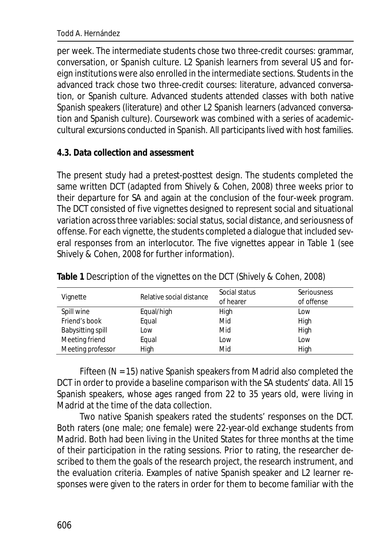Todd A. Hernández

per week. The intermediate students chose two three-credit courses: grammar, conversation, or Spanish culture. L2 Spanish learners from several US and foreign institutions were also enrolled in the intermediate sections. Students in the advanced track chose two three-credit courses: literature, advanced conversation, or Spanish culture. Advanced students attended classes with both native Spanish speakers (literature) and other L2 Spanish learners (advanced conversation and Spanish culture). Coursework was combined with a series of academiccultural excursions conducted in Spanish. All participants lived with host families.

#### **4.3. Data collection and assessment**

The present study had a pretest-posttest design. The students completed the same written DCT (adapted from Shively & Cohen, 2008) three weeks prior to their departure for SA and again at the conclusion of the four-week program. The DCT consisted of five vignettes designed to represent social and situational variation across three variables: social status, social distance, and seriousness of offense. For each vignette, the students completed a dialogue that included several responses from an interlocutor. The five vignettes appear in Table 1 (see Shively & Cohen, 2008 for further information).

| Vignette          | Relative social distance | Social status<br>of hearer | Seriousness<br>of offense |
|-------------------|--------------------------|----------------------------|---------------------------|
| Spill wine        | Equal/high               | High                       | Low                       |
| Friend's book     | Equal                    | Mid                        | High                      |
| Babysitting spill | Low                      | Mid                        | High                      |
| Meeting friend    | Equal                    | Low                        | Low                       |
| Meeting professor | High                     | Mid                        | High                      |

**Table 1** Description of the vignettes on the DCT (Shively & Cohen, 2008)

Fifteen (*N* = 15) native Spanish speakers from Madrid also completed the DCT in order to provide a baseline comparison with the SA students' data. All 15 Spanish speakers, whose ages ranged from 22 to 35 years old, were living in Madrid at the time of the data collection.

Two native Spanish speakers rated the students' responses on the DCT. Both raters (one male; one female) were 22-year-old exchange students from Madrid. Both had been living in the United States for three months at the time of their participation in the rating sessions. Prior to rating, the researcher described to them the goals of the research project, the research instrument, and the evaluation criteria. Examples of native Spanish speaker and L2 learner responses were given to the raters in order for them to become familiar with the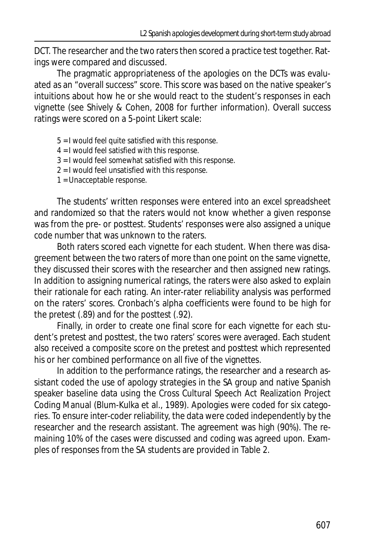DCT. The researcher and the two raters then scored a practice test together. Ratings were compared and discussed.

The pragmatic appropriateness of the apologies on the DCTs was evaluated as an "overall success" score. This score was based on the native speaker's intuitions about how he or she would react to the student's responses in each vignette (see Shively & Cohen, 2008 for further information). Overall success ratings were scored on a 5-point Likert scale:

- 5 = I would feel quite satisfied with this response.
- 4 = I would feel satisfied with this response.
- 3 = I would feel somewhat satisfied with this response.
- 2 = I would feel unsatisfied with this response.
- 1 = Unacceptable response.

The students' written responses were entered into an excel spreadsheet and randomized so that the raters would not know whether a given response was from the pre- or posttest. Students' responses were also assigned a unique code number that was unknown to the raters.

Both raters scored each vignette for each student. When there was disagreement between the two raters of more than one point on the same vignette, they discussed their scores with the researcher and then assigned new ratings. In addition to assigning numerical ratings, the raters were also asked to explain their rationale for each rating. An inter-rater reliability analysis was performed on the raters' scores. Cronbach's alpha coefficients were found to be high for the pretest (.89) and for the posttest (.92).

Finally, in order to create one final score for each vignette for each student's pretest and posttest, the two raters' scores were averaged. Each student also received a composite score on the pretest and posttest which represented his or her combined performance on all five of the vignettes.

In addition to the performance ratings, the researcher and a research assistant coded the use of apology strategies in the SA group and native Spanish speaker baseline data using the Cross Cultural Speech Act Realization Project Coding Manual (Blum-Kulka et al., 1989). Apologies were coded for six categories. To ensure inter-coder reliability, the data were coded independently by the researcher and the research assistant. The agreement was high (90%). The remaining 10% of the cases were discussed and coding was agreed upon. Examples of responses from the SA students are provided in Table 2.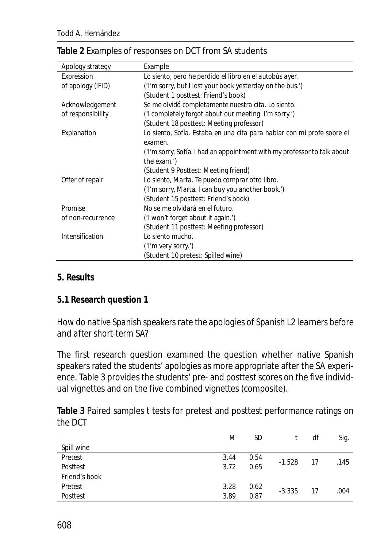| Apology strategy  | Example                                                                                 |
|-------------------|-----------------------------------------------------------------------------------------|
| Expression        | Lo siento, pero he perdido el libro en el autobús ayer.                                 |
| of apology (IFID) | ('I'm sorry, but I lost your book yesterday on the bus.')                               |
|                   | (Student 1 posttest: Friend's book)                                                     |
| Acknowledgement   | Se me olvidó completamente nuestra cita. Lo siento.                                     |
| of responsibility | ('I completely forgot about our meeting. I'm sorry.')                                   |
|                   | (Student 18 posttest: Meeting professor)                                                |
| Explanation       | Lo siento, Sofía. Estaba en una cita para hablar con mi profe sobre el<br>examen.       |
|                   | ('I'm sorry, Sofía. I had an appointment with my professor to talk about<br>the exam.') |
|                   | (Student 9 Posttest: Meeting friend)                                                    |
| Offer of repair   | Lo siento, Marta. Te puedo comprar otro libro.                                          |
|                   | ('I'm sorry, Marta. I can buy you another book.')                                       |
|                   | (Student 15 posttest: Friend's book)                                                    |
| Promise           | No se me olvidará en el futuro.                                                         |
| of non-recurrence | ('I won't forget about it again.')                                                      |
|                   | (Student 11 posttest: Meeting professor)                                                |
| Intensification   | Lo siento mucho.                                                                        |
|                   | ('I'm very sorry.')                                                                     |
|                   | (Student 10 pretest: Spilled wine)                                                      |

#### **Table 2** Examples of responses on DCT from SA students

#### **5. Results**

#### **5.1 Research question 1**

# *How do native Spanish speakers rate the apologies of Spanish L2 learners before and after short-term SA?*

The first research question examined the question whether native Spanish speakers rated the students' apologies as more appropriate after the SA experience. Table 3 provides the students' pre- and posttest scores on the five individual vignettes and on the five combined vignettes (composite).

**Table 3** Paired samples *t* tests for pretest and posttest performance ratings on the DCT

|               | M    | SD   |          | df | Sig. |
|---------------|------|------|----------|----|------|
| Spill wine    |      |      |          |    |      |
| Pretest       | 3.44 | 0.54 | $-1.528$ | 17 | .145 |
| Posttest      | 3.72 | 0.65 |          |    |      |
| Friend's book |      |      |          |    |      |
| Pretest       | 3.28 | 0.62 | $-3.335$ | 17 | .004 |
| Posttest      | 3.89 | 0.87 |          |    |      |
|               |      |      |          |    |      |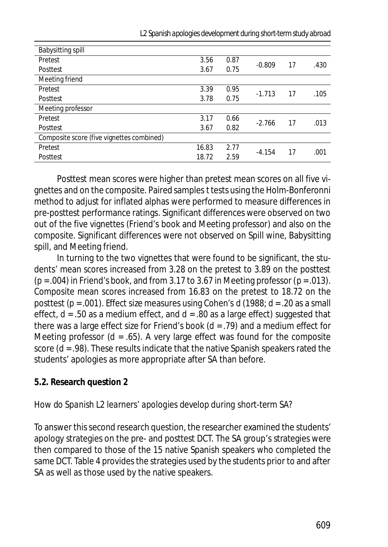| Babysitting spill                         |       |      |          |    |      |
|-------------------------------------------|-------|------|----------|----|------|
| Pretest                                   | 3.56  | 0.87 | $-0.809$ |    | .430 |
| Posttest                                  | 3.67  | 0.75 |          | 17 |      |
| Meeting friend                            |       |      |          |    |      |
| Pretest                                   | 3.39  | 0.95 | $-1.713$ | 17 | .105 |
| Posttest                                  | 3.78  | 0.75 |          |    |      |
| Meeting professor                         |       |      |          |    |      |
| Pretest                                   | 3.17  | 0.66 | $-2.766$ | 17 | .013 |
| Posttest                                  | 3.67  | 0.82 |          |    |      |
| Composite score (five vignettes combined) |       |      |          |    |      |
| Pretest                                   | 16.83 | 2.77 | $-4.154$ | 17 | .001 |
| Posttest                                  | 18.72 | 2.59 |          |    |      |
|                                           |       |      |          |    |      |

*L2 Spanish apologies development during short-term study abroad*

Posttest mean scores were higher than pretest mean scores on all five vignettes and on the composite. Paired samples *t* tests using the Holm-Bonferonni method to adjust for inflated alphas were performed to measure differences in pre-posttest performance ratings. Significant differences were observed on two out of the five vignettes (Friend's book and Meeting professor) and also on the composite. Significant differences were not observed on Spill wine, Babysitting spill, and Meeting friend.

In turning to the two vignettes that were found to be significant, the students' mean scores increased from 3.28 on the pretest to 3.89 on the posttest (*p* = .004) in Friend's book, and from 3.17 to 3.67 in Meeting professor (*p* = .013). Composite mean scores increased from 16.83 on the pretest to 18.72 on the posttest (*p* = .001). Effect size measures using Cohen's *d* (1988; *d* = .20 as a small effect, *d* = .50 as a medium effect, and *d* = .80 as a large effect) suggested that there was a large effect size for Friend's book (*d* = .79) and a medium effect for Meeting professor  $(d = .65)$ . A very large effect was found for the composite score (*d* = .98). These results indicate that the native Spanish speakers rated the students' apologies as more appropriate after SA than before.

#### **5.2. Research question 2**

# *How do Spanish L2 learners' apologies develop during short-term SA?*

To answer this second research question, the researcher examined the students' apology strategies on the pre- and posttest DCT. The SA group's strategies were then compared to those of the 15 native Spanish speakers who completed the same DCT. Table 4 provides the strategies used by the students prior to and after SA as well as those used by the native speakers.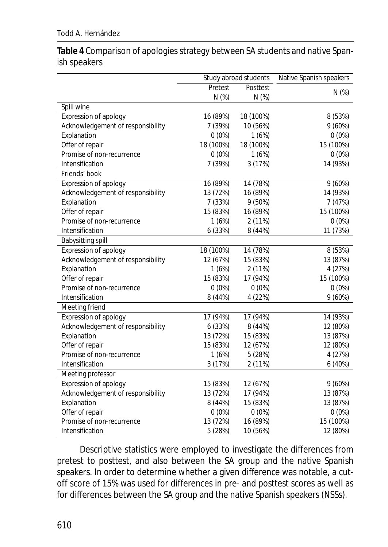#### Todd A. Hernández

**Table 4** Comparison of apologies strategy between SA students and native Spanish speakers

|                                   | Study abroad students |           | Native Spanish speakers |  |
|-----------------------------------|-----------------------|-----------|-------------------------|--|
|                                   | Pretest               | Posttest  | $N$ (%)                 |  |
|                                   | $N$ (%)               | $N$ (%)   |                         |  |
| Spill wine                        |                       |           |                         |  |
| Expression of apology             | 16 (89%)              | 18 (100%) | 8 (53%)                 |  |
| Acknowledgement of responsibility | 7 (39%)               | 10 (56%)  | 9(60%)                  |  |
| Explanation                       | $0(0\%)$              | 1(6%)     | $0(0\%)$                |  |
| Offer of repair                   | 18 (100%)             | 18 (100%) | 15 (100%)               |  |
| Promise of non-recurrence         | $0(0\%)$              | 1(6%)     | $0(0\%)$                |  |
| Intensification                   | 7 (39%)               | 3 (17%)   | 14 (93%)                |  |
| Friends' book                     |                       |           |                         |  |
| Expression of apology             | 16 (89%)              | 14 (78%)  | 9(60%)                  |  |
| Acknowledgement of responsibility | 13 (72%)              | 16 (89%)  | 14 (93%)                |  |
| Explanation                       | 7 (33%)               | 9 (50%)   | 7 (47%)                 |  |
| Offer of repair                   | 15 (83%)              | 16 (89%)  | 15 (100%)               |  |
| Promise of non-recurrence         | 1(6%)                 | 2 (11%)   | $0(0\%)$                |  |
| Intensification                   | 6 (33%)               | 8 (44%)   | 11 (73%)                |  |
| <b>Babysitting spill</b>          |                       |           |                         |  |
| Expression of apology             | 18 (100%)             | 14 (78%)  | 8 (53%)                 |  |
| Acknowledgement of responsibility | 12 (67%)              | 15 (83%)  | 13 (87%)                |  |
| Explanation                       | 1(6%)                 | 2 (11%)   | 4 (27%)                 |  |
| Offer of repair                   | 15 (83%)              | 17 (94%)  | 15 (100%)               |  |
| Promise of non-recurrence         | $0(0\%)$              | $0(0\%)$  | $0(0\%)$                |  |
| Intensification                   | 8 (44%)               | 4 (22%)   | 9(60%)                  |  |
| Meeting friend                    |                       |           |                         |  |
| Expression of apology             | 17 (94%)              | 17 (94%)  | 14 (93%)                |  |
| Acknowledgement of responsibility | 6 (33%)               | 8 (44%)   | 12 (80%)                |  |
| Explanation                       | 13 (72%)              | 15 (83%)  | 13 (87%)                |  |
| Offer of repair                   | 15 (83%)              | 12 (67%)  | 12 (80%)                |  |
| Promise of non-recurrence         | 1(6%)                 | 5 (28%)   | 4 (27%)                 |  |
| Intensification                   | 3 (17%)               | 2 (11%)   | 6(40%)                  |  |
| Meeting professor                 |                       |           |                         |  |
| Expression of apology             | 15 (83%)              | 12 (67%)  | 9(60%)                  |  |
| Acknowledgement of responsibility | 13 (72%)              | 17 (94%)  | 13 (87%)                |  |
| Explanation                       | 8 (44%)               | 15 (83%)  | 13 (87%)                |  |
| Offer of repair                   | $0(0\%)$              | $0(0\%)$  | $0(0\%)$                |  |
| Promise of non-recurrence         | 13 (72%)              | 16 (89%)  | 15 (100%)               |  |
| Intensification                   | 5 (28%)               | 10 (56%)  | 12 (80%)                |  |

Descriptive statistics were employed to investigate the differences from pretest to posttest, and also between the SA group and the native Spanish speakers. In order to determine whether a given difference was notable, a cutoff score of 15% was used for differences in pre- and posttest scores as well as for differences between the SA group and the native Spanish speakers (NSSs).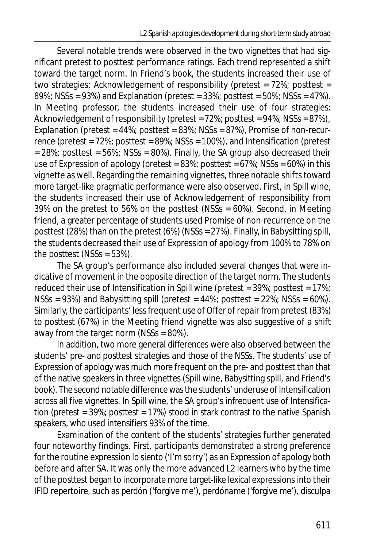Several notable trends were observed in the two vignettes that had significant pretest to posttest performance ratings. Each trend represented a shift toward the target norm. In Friend's book, the students increased their use of two strategies: Acknowledgement of responsibility (pretest = 72%; posttest = 89%; NSSs = 93%) and Explanation (pretest =  $33\%$ ; posttest =  $50\%$ ; NSSs =  $47\%$ ). In Meeting professor, the students increased their use of four strategies: Acknowledgement of responsibility (pretest =  $72\%$ ; posttest =  $94\%$ ; NSSs =  $87\%$ ), Explanation (pretest = 44%; posttest = 83%; NSSs = 87%), Promise of non-recurrence (pretest = 72%; posttest = 89%; NSSs = 100%), and Intensification (pretest  $= 28\%$ ; posttest = 56%; NSSs = 80%). Finally, the SA group also decreased their use of Expression of apology (pretest =  $83\%$ ; posttest =  $67\%$ ; NSSs =  $60\%$ ) in this vignette as well. Regarding the remaining vignettes, three notable shifts toward more target-like pragmatic performance were also observed. First, in Spill wine, the students increased their use of Acknowledgement of responsibility from 39% on the pretest to 56% on the posttest (NSSs = 60%). Second, in Meeting friend, a greater percentage of students used Promise of non-recurrence on the posttest (28%) than on the pretest (6%) (NSSs = 27%). Finally, in Babysitting spill, the students decreased their use of Expression of apology from 100% to 78% on the posttest ( $NSSs = 53\%$ ).

The SA group's performance also included several changes that were indicative of movement in the opposite direction of the target norm. The students reduced their use of Intensification in Spill wine (pretest = 39%; posttest = 17%;  $NSSs = 93\%)$  and Babysitting spill (pretest = 44%; posttest = 22%; NSSs = 60%). Similarly, the participants' less frequent use of Offer of repair from pretest (83%) to posttest (67%) in the Meeting friend vignette was also suggestive of a shift away from the target norm (NSSs = 80%).

In addition, two more general differences were also observed between the students' pre- and posttest strategies and those of the NSSs. The students' use of Expression of apology was much more frequent on the pre- and posttest than that of the native speakers in three vignettes (Spill wine, Babysitting spill, and Friend's book). The second notable difference was the students' underuse of Intensification across all five vignettes. In Spill wine, the SA group's infrequent use of Intensification (pretest = 39%; posttest = 17%) stood in stark contrast to the native Spanish speakers, who used intensifiers 93% of the time.

Examination of the content of the students' strategies further generated four noteworthy findings. First, participants demonstrated a strong preference for the routine expression *lo siento* ('I'm sorry') as an Expression of apology both before and after SA. It was only the more advanced L2 learners who by the time of the posttest began to incorporate more target-like lexical expressions into their IFID repertoire, such as *perdón* ('forgive me'), *perdóname* ('forgive me'), *disculpa*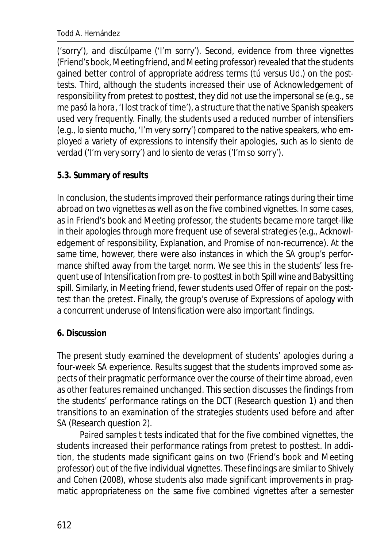#### Todd A. Hernández

('sorry'), and *discúlpame* ('I'm sorry'). Second, evidence from three vignettes (Friend's book, Meeting friend, and Meeting professor) revealed that the students gained better control of appropriate address terms (*tú* versus *Ud.*) on the posttests. Third, although the students increased their use of Acknowledgement of responsibility from pretest to posttest, they did not use the impersonal *se* (e.g.,*se me pasó la hora*, 'I lost track of time'), a structure that the native Spanish speakers used very frequently. Finally, the students used a reduced number of intensifiers (e.g., *lo siento mucho*, 'I'm very sorry') compared to the native speakers, who employed a variety of expressions to intensify their apologies, such as *lo siento de verdad* ('I'm very sorry') and *lo siento de veras* ('I'm so sorry').

# **5.3. Summary of results**

In conclusion, the students improved their performance ratings during their time abroad on two vignettes as well as on the five combined vignettes. In some cases, as in Friend's book and Meeting professor, the students became more target-like in their apologies through more frequent use of several strategies (e.g., Acknowledgement of responsibility, Explanation, and Promise of non-recurrence). At the same time, however, there were also instances in which the SA group's performance shifted away from the target norm. We see this in the students' less frequent use of Intensification from pre- to posttest in both Spill wine and Babysitting spill. Similarly, in Meeting friend, fewer students used Offer of repair on the posttest than the pretest. Finally, the group's overuse of Expressions of apology with a concurrent underuse of Intensification were also important findings.

# **6. Discussion**

The present study examined the development of students' apologies during a four-week SA experience. Results suggest that the students improved some aspects of their pragmatic performance over the course of their time abroad, even as other features remained unchanged. This section discusses the findings from the students' performance ratings on the DCT (Research question 1) and then transitions to an examination of the strategies students used before and after SA (Research question 2).

Paired samples *t* tests indicated that for the five combined vignettes, the students increased their performance ratings from pretest to posttest. In addition, the students made significant gains on two (Friend's book and Meeting professor) out of the five individual vignettes. These findings are similar to Shively and Cohen (2008), whose students also made significant improvements in pragmatic appropriateness on the same five combined vignettes after a semester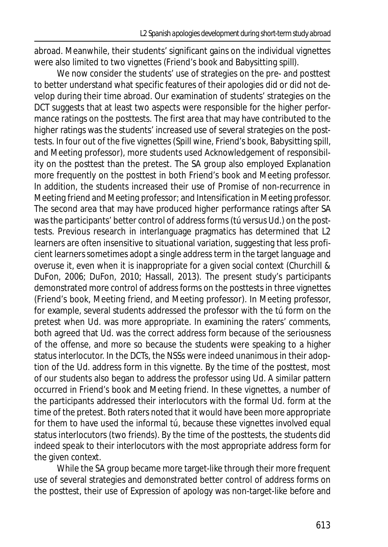abroad. Meanwhile, their students' significant gains on the individual vignettes were also limited to two vignettes (Friend's book and Babysitting spill).

We now consider the students' use of strategies on the pre- and posttest to better understand what specific features of their apologies did or did not develop during their time abroad. Our examination of students' strategies on the DCT suggests that at least two aspects were responsible for the higher performance ratings on the posttests. The first area that may have contributed to the higher ratings was the students' increased use of several strategies on the posttests. In four out of the five vignettes (Spill wine, Friend's book, Babysitting spill, and Meeting professor), more students used Acknowledgement of responsibility on the posttest than the pretest. The SA group also employed Explanation more frequently on the posttest in both Friend's book and Meeting professor. In addition, the students increased their use of Promise of non-recurrence in Meeting friend and Meeting professor; and Intensification in Meeting professor. The second area that may have produced higher performance ratings after SA was the participants' better control of address forms (*tú* versus *Ud.*) on the posttests. Previous research in interlanguage pragmatics has determined that L2 learners are often insensitive to situational variation, suggesting that less proficient learners sometimes adopt a single address term in the target language and overuse it, even when it is inappropriate for a given social context (Churchill & DuFon, 2006; DuFon, 2010; Hassall, 2013). The present study's participants demonstrated more control of address forms on the posttests in three vignettes (Friend's book, Meeting friend, and Meeting professor). In Meeting professor, for example, several students addressed the professor with the *tú* form on the pretest when *Ud.* was more appropriate. In examining the raters' comments, both agreed that *Ud.* was the correct address form because of the seriousness of the offense, and more so because the students were speaking to a higher status interlocutor. In the DCTs, the NSSs were indeed unanimous in their adoption of the *Ud.* address form in this vignette. By the time of the posttest, most of our students also began to address the professor using *Ud*. A similar pattern occurred in Friend's book and Meeting friend. In these vignettes, a number of the participants addressed their interlocutors with the formal *Ud.* form at the time of the pretest. Both raters noted that it would have been more appropriate for them to have used the informal *tú*, because these vignettes involved equal status interlocutors (two friends). By the time of the posttests, the students did indeed speak to their interlocutors with the most appropriate address form for the given context.

While the SA group became more target-like through their more frequent use of several strategies and demonstrated better control of address forms on the posttest, their use of Expression of apology was non-target-like before and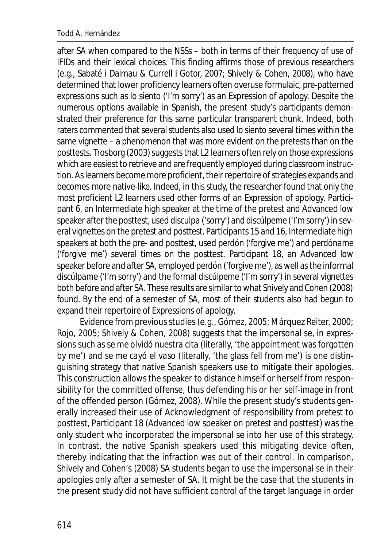after SA when compared to the NSSs – both in terms of their frequency of use of IFIDs and their lexical choices. This finding affirms those of previous researchers (e.g., Sabaté i Dalmau & Currell i Gotor, 2007; Shively & Cohen, 2008), who have determined that lower proficiency learners often overuse formulaic, pre-patterned expressions such as *lo siento* ('I'm sorry') as an Expression of apology. Despite the numerous options available in Spanish, the present study's participants demonstrated their preference for this same particular transparent chunk. Indeed, both raters commented that several students also used *lo siento* several times within the same vignette – a phenomenon that was more evident on the pretests than on the posttests. Trosborg (2003) suggests that L2 learners often rely on those expressions which are easiest to retrieve and are frequently employed during classroom instruction. As learners become more proficient, their repertoire of strategies expands and becomes more native-like. Indeed, in this study, the researcher found that only the most proficient L2 learners used other forms of an Expression of apology. Participant 6, an Intermediate high speaker at the time of the pretest and Advanced low speaker after the posttest, used *disculpa* ('sorry') and *discúlpeme* ('I'm sorry') in several vignettes on the pretest and posttest. Participants 15 and 16, Intermediate high speakers at both the pre- and posttest, used *perdón* ('forgive me') and *perdóname* ('forgive me') several times on the posttest. Participant 18, an Advanced low speaker before and after SA, employed *perdón* ('forgive me'), as well as the informal *discúlpame* ('I'm sorry') and the formal *discúlpeme* ('I'm sorry') in several vignettes both before and after SA. These results are similar to what Shively and Cohen (2008) found. By the end of a semester of SA, most of their students also had begun to expand their repertoire of Expressions of apology.

Evidence from previous studies (e.g., Gómez, 2005; Márquez Reiter, 2000; Rojo, 2005; Shively & Cohen, 2008) suggests that the impersonal *se*, in expressions such as *se me olvidó nuestra cita* (literally, 'the appointment was forgotten by me') and *se me cayó el vaso* (literally, 'the glass fell from me') is one distinguishing strategy that native Spanish speakers use to mitigate their apologies. This construction allows the speaker to distance himself or herself from responsibility for the committed offense, thus defending his or her self-image in front of the offended person (Gómez, 2008). While the present study's students generally increased their use of Acknowledgment of responsibility from pretest to posttest, Participant 18 (Advanced low speaker on pretest and posttest) was the only student who incorporated the impersonal *se* into her use of this strategy. In contrast, the native Spanish speakers used this mitigating device often, thereby indicating that the infraction was out of their control. In comparison, Shively and Cohen's (2008) SA students began to use the impersonal *se* in their apologies only after a semester of SA. It might be the case that the students in the present study did not have sufficient control of the target language in order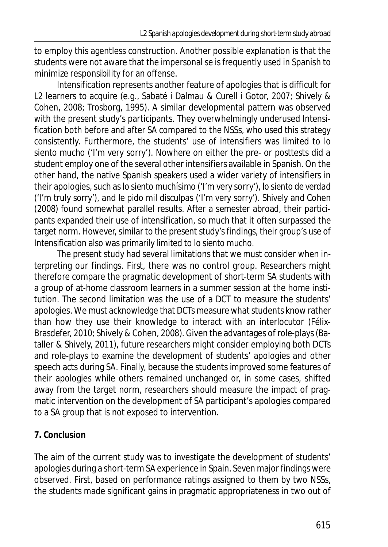to employ this agentless construction. Another possible explanation is that the students were not aware that the impersonal *se* is frequently used in Spanish to minimize responsibility for an offense.

Intensification represents another feature of apologies that is difficult for L2 learners to acquire (e.g., Sabaté i Dalmau & Curell i Gotor, 2007; Shively & Cohen, 2008; Trosborg, 1995). A similar developmental pattern was observed with the present study's participants. They overwhelmingly underused Intensification both before and after SA compared to the NSSs, who used this strategy consistently. Furthermore, the students' use of intensifiers was limited to *lo siento mucho* ('I'm very sorry'). Nowhere on either the pre- or posttests did a student employ one of the several other intensifiers available in Spanish. On the other hand, the native Spanish speakers used a wider variety of intensifiers in their apologies, such as*lo siento muchísimo* ('I'm very sorry'), *lo siento de verdad* ('I'm truly sorry'), and *le pido mil disculpas* ('I'm very sorry'). Shively and Cohen (2008) found somewhat parallel results. After a semester abroad, their participants expanded their use of intensification, so much that it often surpassed the target norm. However, similar to the present study's findings, their group's use of Intensification also was primarily limited to *lo siento mucho.*

The present study had several limitations that we must consider when interpreting our findings. First, there was no control group. Researchers might therefore compare the pragmatic development of short-term SA students with a group of at-home classroom learners in a summer session at the home institution. The second limitation was the use of a DCT to measure the students' apologies. We must acknowledge that DCTs measure what students know rather than how they use their knowledge to interact with an interlocutor (Félix-Brasdefer, 2010; Shively & Cohen, 2008). Given the advantages of role-plays (Bataller & Shively, 2011), future researchers might consider employing both DCTs and role-plays to examine the development of students' apologies and other speech acts during SA. Finally, because the students improved some features of their apologies while others remained unchanged or, in some cases, shifted away from the target norm, researchers should measure the impact of pragmatic intervention on the development of SA participant's apologies compared to a SA group that is not exposed to intervention.

# **7. Conclusion**

The aim of the current study was to investigate the development of students' apologies during a short-term SA experience in Spain. Seven major findings were observed. First, based on performance ratings assigned to them by two NSSs, the students made significant gains in pragmatic appropriateness in two out of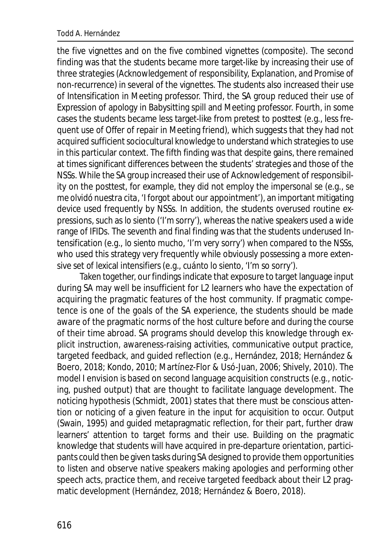the five vignettes and on the five combined vignettes (composite). The second finding was that the students became more target-like by increasing their use of three strategies (Acknowledgement of responsibility, Explanation, and Promise of non-recurrence) in several of the vignettes. The students also increased their use of Intensification in Meeting professor. Third, the SA group reduced their use of Expression of apology in Babysitting spill and Meeting professor. Fourth, in some cases the students became less target-like from pretest to posttest (e.g., less frequent use of Offer of repair in Meeting friend), which suggests that they had not acquired sufficient sociocultural knowledge to understand which strategies to use in this particular context. The fifth finding was that despite gains, there remained at times significant differences between the students' strategies and those of the NSSs. While the SA group increased their use of Acknowledgement of responsibility on the posttest, for example, they did not employ the impersonal se (e.g., *se me olvidó nuestra cita*, 'I forgot about our appointment'), an important mitigating device used frequently by NSSs. In addition, the students overused routine expressions, such as *lo siento* ('I'm sorry'), whereas the native speakers used a wide range of IFIDs. The seventh and final finding was that the students underused Intensification (e.g., *lo siento mucho*, 'I'm very sorry') when compared to the NSSs, who used this strategy very frequently while obviously possessing a more extensive set of lexical intensifiers (e.g., *cuánto lo siento*, 'I'm so sorry').

Taken together, our findings indicate that exposure to target language input during SA may well be insufficient for L2 learners who have the expectation of acquiring the pragmatic features of the host community. If pragmatic competence is one of the goals of the SA experience, the students should be made aware of the pragmatic norms of the host culture before and during the course of their time abroad. SA programs should develop this knowledge through explicit instruction, awareness-raising activities, communicative output practice, targeted feedback, and guided reflection (e.g., Hernández, 2018; Hernández & Boero, 2018; Kondo, 2010; Martínez-Flor & Usó-Juan, 2006; Shively, 2010). The model I envision is based on second language acquisition constructs (e.g., noticing, pushed output) that are thought to facilitate language development. The noticing hypothesis (Schmidt, 2001) states that there must be conscious attention or noticing of a given feature in the input for acquisition to occur. Output (Swain, 1995) and guided metapragmatic reflection, for their part, further draw learners' attention to target forms and their use. Building on the pragmatic knowledge that students will have acquired in pre-departure orientation, participants could then be given tasks during SA designed to provide them opportunities to listen and observe native speakers making apologies and performing other speech acts, practice them, and receive targeted feedback about their L2 pragmatic development (Hernández, 2018; Hernández & Boero, 2018).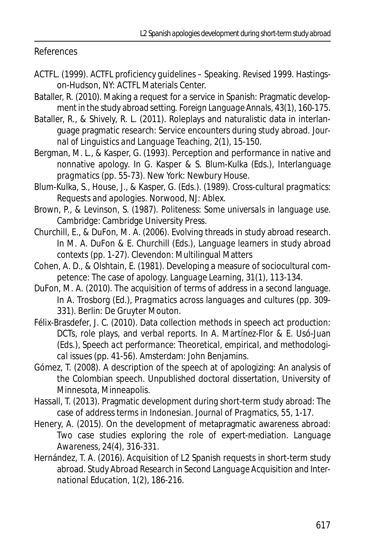References

- ACTFL. (1999). *ACTFL proficiency guidelines Speaking. Revised 1999*. Hastingson-Hudson, NY: ACTFL Materials Center.
- Bataller, R. (2010). Making a request for a service in Spanish: Pragmatic development in the study abroad setting. *Foreign Language Annals, 43*(1)*,* 160-175.
- Bataller, R., & Shively, R. L. (2011). Roleplays and naturalistic data in interlanguage pragmatic research: Service encounters during study abroad. *Journal of Linguistics and Language Teaching, 2*(1), 15-150.
- Bergman, M. L., & Kasper, G. (1993). Perception and performance in native and nonnative apology. In G. Kasper & S. Blum-Kulka (Eds.), *Interlanguage pragmatics* (pp. 55-73). New York: Newbury House.
- Blum-Kulka, S., House, J., & Kasper, G. (Eds.). (1989). *Cross-cultural pragmatics: Requests and apologies.* Norwood, NJ: Ablex.
- Brown, P., & Levinson, S. (1987). *Politeness: Some universals in language use*. Cambridge: Cambridge University Press.
- Churchill, E., & DuFon, M. A. (2006). Evolving threads in study abroad research. In M. A. DuFon & E. Churchill (Eds.), *Language learners in study abroad contexts* (pp. 1-27). Clevendon: Multilingual Matters
- Cohen, A. D., & Olshtain, E. (1981). Developing a measure of sociocultural competence: The case of apology. *Language Learning, 31*(1)*,* 113-134.
- DuFon, M. A. (2010). The acquisition of terms of address in a second language. In A. Trosborg (Ed.), *Pragmatics across languages and cultures* (pp. 309- 331). Berlin: De Gruyter Mouton.
- Félix-Brasdefer, J. C. (2010). Data collection methods in speech act production: DCTs, role plays, and verbal reports. In A. Martínez-Flor & E. Usó-Juan (Eds.), *Speech act performance: Theoretical, empirical, and methodological issues* (pp. 41-56). Amsterdam: John Benjamins.
- Gómez, T. (2008). A description of the speech at of apologizing: An analysis of the Colombian speech. Unpublished doctoral dissertation, University of Minnesota, Minneapolis.
- Hassall, T. (2013). Pragmatic development during short-term study abroad: The case of address terms in Indonesian. *Journal of Pragmatics, 55,* 1-17.
- Henery, A. (2015). On the development of metapragmatic awareness abroad: Two case studies exploring the role of expert-mediation. *Language Awareness, 24*(4)*,* 316-331.
- Hernández, T. A. (2016). Acquisition of L2 Spanish requests in short-term study abroad. *Study Abroad Research in Second Language Acquisition and International Education, 1*(2)*,* 186-216.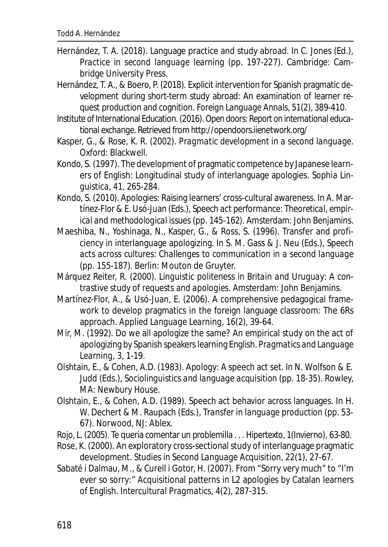- Hernández, T. A. (2018). Language practice and study abroad. In C. Jones (Ed.), *Practice in second language learning* (pp. 197-227). Cambridge: Cambridge University Press.
- Hernández, T. A., & Boero, P. (2018). Explicit intervention for Spanish pragmatic development during short-term study abroad: An examination of learner request production and cognition. *Foreign Language Annals, 51*(2), 389-410.
- Institute of International Education. (2016).*Open doors: Report on international educational exchange*. Retrieved from http://opendoors.iienetwork.org/
- Kasper, G., & Rose, K. R. (2002). *Pragmatic development in a second language.* Oxford: Blackwell.
- Kondo, S. (1997). The development of pragmatic competence by Japanese learners of English: Longitudinal study of interlanguage apologies. *Sophia Linguistica, 41,* 265-284.
- Kondo, S. (2010). Apologies: Raising learners' cross-cultural awareness. In A. Martínez-Flor & E. Usó-Juan (Eds.), *Speech act performance: Theoretical, empirical and methodological issues* (pp. 145-162). Amsterdam: John Benjamins.
- Maeshiba, N., Yoshinaga, N., Kasper, G., & Ross, S. (1996). Transfer and proficiency in interlanguage apologizing. In S. M. Gass & J. Neu (Eds.), *Speech acts across cultures: Challenges to communication in a second language* (pp. 155-187). Berlin: Mouton de Gruyter.
- Márquez Reiter, R. (2000). *Linguistic politeness in Britain and Uruguay: A contrastive study of requests and apologies*. Amsterdam: John Benjamins.
- Martínez-Flor, A., & Usó-Juan, E. (2006). A comprehensive pedagogical framework to develop pragmatics in the foreign language classroom: The 6Rs approach. *Applied Language Learning, 16*(2), 39-64.
- Mir, M. (1992). Do we all apologize the same? An empirical study on the act of apologizing by Spanish speakers learning English. *Pragmatics and Language Learning, 3,* 1-19.
- Olshtain, E., & Cohen, A.D. (1983). Apology: A speech act set. In N. Wolfson & E. Judd (Eds.), *Sociolinguistics and language acquisition* (pp. 18-35). Rowley, MA: Newbury House.
- Olshtain, E., & Cohen, A.D. (1989). Speech act behavior across languages. In H. W. Dechert & M. Raupach (Eds.), *Transfer in language production* (pp. 53- 67). Norwood, NJ: Ablex.
- Rojo, L. (2005). Te queria comentar un problemilla . . . *Hipertexto, 1*(Invierno)*,* 63-80.
- Rose, K. (2000). An exploratory cross-sectional study of interlanguage pragmatic development. *Studies in Second Language Acquisition, 22*(1), 27-67.
- Sabaté i Dalmau, M., & Curell i Gotor, H. (2007). From "Sorry very much" to "I'm ever so sorry:" Acquisitional patterns in L2 apologies by Catalan learners of English. *Intercultural Pragmatics, 4*(2)*,* 287-315.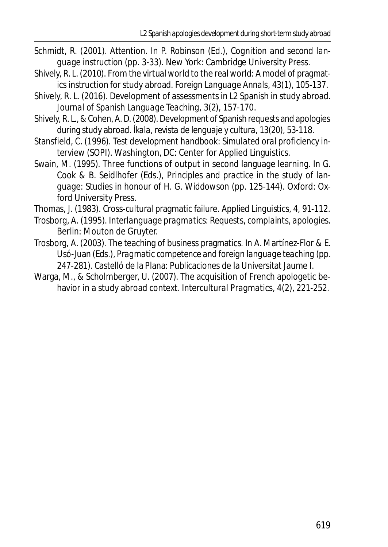- Schmidt, R. (2001). Attention. In P. Robinson (Ed.), *Cognition and second language instruction* (pp. 3-33). New York: Cambridge University Press.
- Shively, R. L. (2010). From the virtual world to the real world: A model of pragmatics instruction for study abroad. *Foreign Language Annals, 43*(1)*,* 105-137.
- Shively, R. L. (2016). Development of assessments in L2 Spanish in study abroad. *Journal of Spanish Language Teaching, 3*(2)*,* 157-170.
- Shively, R. L., & Cohen, A. D. (2008). Development of Spanish requests and apologies during study abroad. *Íkala, revista de lenguaje y cultura, 13*(20), 53-118.
- Stansfield, C. (1996). *Test development handbook: Simulated oral proficiency interview (SOPI)*. Washington, DC: Center for Applied Linguistics.
- Swain, M. (1995). Three functions of output in second language learning. In G. Cook & B. Seidlhofer (Eds.), *Principles and practice in the study of language: Studies in honour of H. G. Widdowson* (pp. 125-144). Oxford: Oxford University Press.
- Thomas, J. (1983). Cross-cultural pragmatic failure. *Applied Linguistics, 4,* 91-112.
- Trosborg, A. (1995). *Interlanguage pragmatics: Requests, complaints, apologies.* Berlin: Mouton de Gruyter.
- Trosborg, A. (2003). The teaching of business pragmatics. In A. Martínez-Flor & E. Usó-Juan (Eds.), *Pragmatic competence and foreign language teaching* (pp. 247-281). Castelló de la Plana: Publicaciones de la Universitat Jaume I.
- Warga, M., & Scholmberger, U. (2007). The acquisition of French apologetic behavior in a study abroad context. *Intercultural Pragmatics, 4*(2)*,* 221-252.